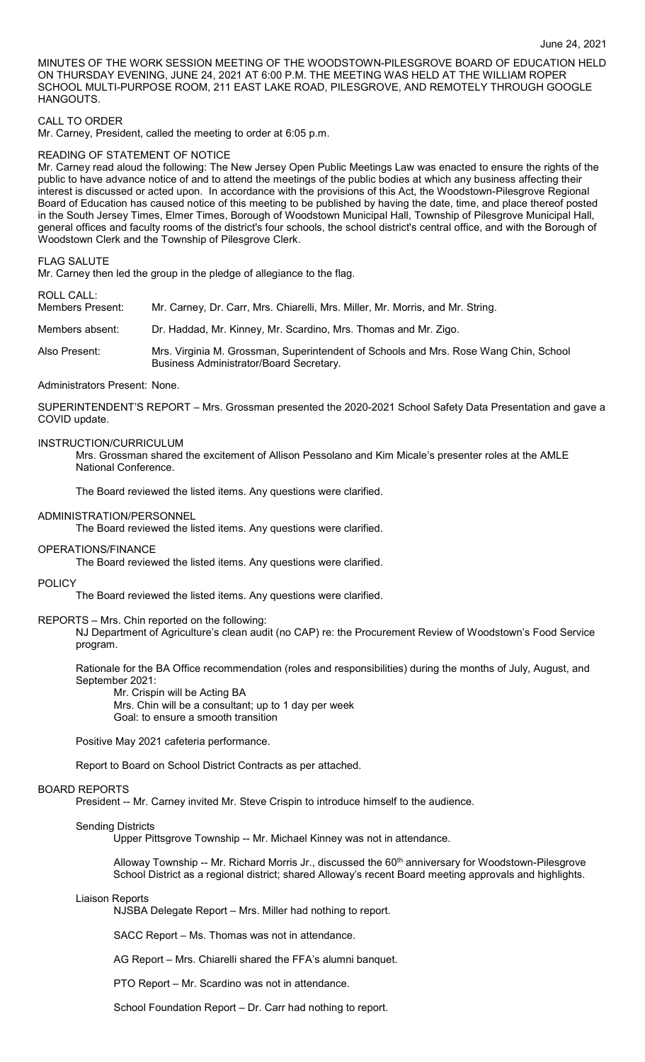MINUTES OF THE WORK SESSION MEETING OF THE WOODSTOWN-PILESGROVE BOARD OF EDUCATION HELD ON THURSDAY EVENING, JUNE 24, 2021 AT 6:00 P.M. THE MEETING WAS HELD AT THE WILLIAM ROPER SCHOOL MULTI-PURPOSE ROOM, 211 EAST LAKE ROAD, PILESGROVE, AND REMOTELY THROUGH GOOGLE HANGOUTS.

# CALL TO ORDER

Mr. Carney, President, called the meeting to order at 6:05 p.m.

## READING OF STATEMENT OF NOTICE

Mr. Carney read aloud the following: The New Jersey Open Public Meetings Law was enacted to ensure the rights of the public to have advance notice of and to attend the meetings of the public bodies at which any business affecting their interest is discussed or acted upon. In accordance with the provisions of this Act, the Woodstown-Pilesgrove Regional Board of Education has caused notice of this meeting to be published by having the date, time, and place thereof posted in the South Jersey Times, Elmer Times, Borough of Woodstown Municipal Hall, Township of Pilesgrove Municipal Hall, general offices and faculty rooms of the district's four schools, the school district's central office, and with the Borough of Woodstown Clerk and the Township of Pilesgrove Clerk.

### FLAG SALUTE

Mr. Carney then led the group in the pledge of allegiance to the flag.

ROLL CALL:

Members Present: Mr. Carney, Dr. Carr, Mrs. Chiarelli, Mrs. Miller, Mr. Morris, and Mr. String.

Members absent: Dr. Haddad, Mr. Kinney, Mr. Scardino, Mrs. Thomas and Mr. Zigo.

Also Present: Mrs. Virginia M. Grossman, Superintendent of Schools and Mrs. Rose Wang Chin, School Business Administrator/Board Secretary.

## Administrators Present: None.

SUPERINTENDENT'S REPORT – Mrs. Grossman presented the 2020-2021 School Safety Data Presentation and gave a COVID update.

# INSTRUCTION/CURRICULUM

Mrs. Grossman shared the excitement of Allison Pessolano and Kim Micale's presenter roles at the AMLE National Conference.

The Board reviewed the listed items. Any questions were clarified.

### ADMINISTRATION/PERSONNEL

The Board reviewed the listed items. Any questions were clarified.

#### OPERATIONS/FINANCE

The Board reviewed the listed items. Any questions were clarified.

#### POLICY

The Board reviewed the listed items. Any questions were clarified.

#### REPORTS – Mrs. Chin reported on the following:

NJ Department of Agriculture's clean audit (no CAP) re: the Procurement Review of Woodstown's Food Service program.

Rationale for the BA Office recommendation (roles and responsibilities) during the months of July, August, and September 2021:

Mr. Crispin will be Acting BA

Mrs. Chin will be a consultant; up to 1 day per week Goal: to ensure a smooth transition

Positive May 2021 cafeteria performance.

Report to Board on School District Contracts as per attached.

# BOARD REPORTS

President -- Mr. Carney invited Mr. Steve Crispin to introduce himself to the audience.

## Sending Districts

Upper Pittsgrove Township -- Mr. Michael Kinney was not in attendance.

Alloway Township -- Mr. Richard Morris Jr., discussed the 60<sup>th</sup> anniversary for Woodstown-Pilesgrove School District as a regional district; shared Alloway's recent Board meeting approvals and highlights.

#### Liaison Reports

NJSBA Delegate Report – Mrs. Miller had nothing to report.

SACC Report – Ms. Thomas was not in attendance.

AG Report – Mrs. Chiarelli shared the FFA's alumni banquet.

PTO Report – Mr. Scardino was not in attendance.

School Foundation Report – Dr. Carr had nothing to report.